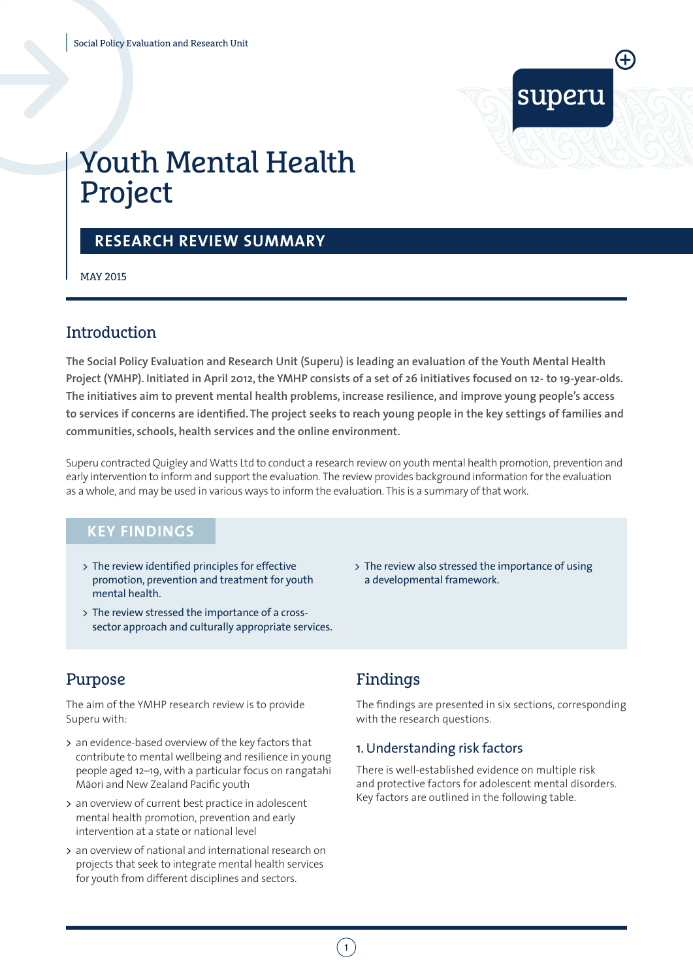

# Youth Mental Health Project

### **RESEARCH REVIEW SUMMARY**

MAY 2015

### **Introduction**

**The Social Policy Evaluation and Research Unit (Superu) is leading an evaluation of the Youth Mental Health Project (YMHP). Initiated in April 2012, the YMHP consists of a set of 26 initiatives focused on 12- to 19-year-olds. The initiatives aim to prevent mental health problems, increase resilience, and improve young people's access to services if concerns are identified. The project seeks to reach young people in the key settings of families and communities, schools, health services and the online environment.** 

Superu contracted Quigley and Watts Ltd to conduct a research review on youth mental health promotion, prevention and early intervention to inform and support the evaluation. The review provides background information for the evaluation as a whole, and may be used in various ways to inform the evaluation. This is a summary of that work.

### **KEY FINDINGS**

- > The review identified principles for effective promotion, prevention and treatment for youth mental health.
- > The review stressed the importance of a crosssector approach and culturally appropriate services.

### Purpose

The aim of the YMHP research review is to provide Superu with:

- > an evidence-based overview of the key factors that contribute to mental wellbeing and resilience in young people aged 12–19, with a particular focus on rangatahi .<br>Māori and New Zealand Pacific youth
- > an overview of current best practice in adolescent mental health promotion, prevention and early intervention at a state or national level
- > an overview of national and international research on projects that seek to integrate mental health services for youth from different disciplines and sectors.

> The review also stressed the importance of using a developmental framework.

## Findings

The findings are presented in six sections, corresponding with the research questions.

#### 1.Understanding risk factors

There is well-established evidence on multiple risk and protective factors for adolescent mental disorders. Key factors are outlined in the following table.

 $\left(1\right)$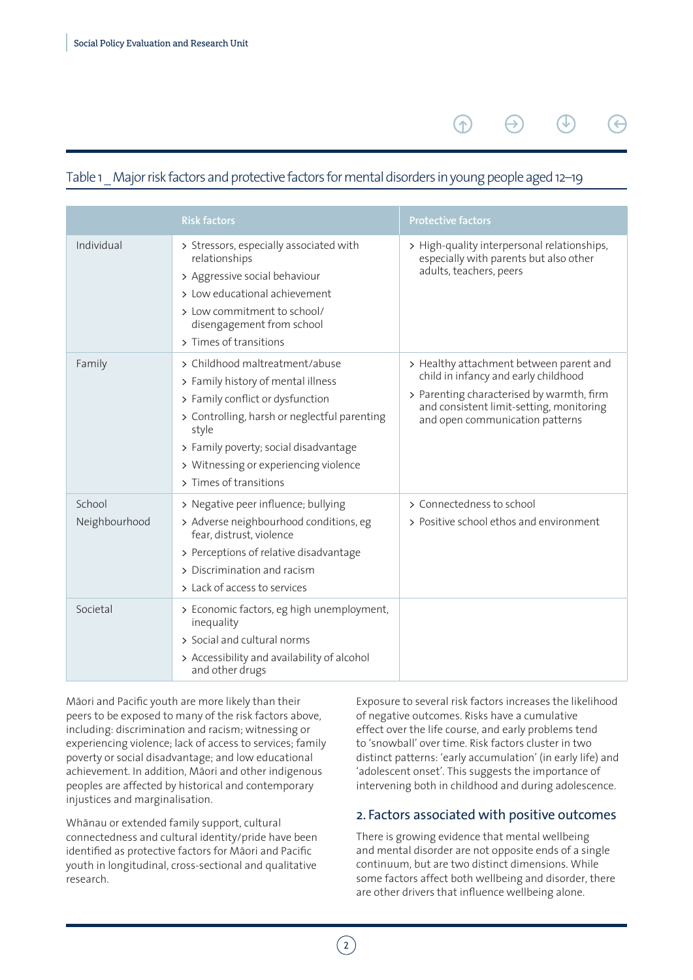### Table 1 Major risk factors and protective factors for mental disorders in young people aged 12–19

 $\left( \mathbf{\Phi} \right)$ 

|                         | <b>Risk factors</b>                                                                                                                                                                                                                                                           | <b>Protective factors</b>                                                                                                                                                                                   |
|-------------------------|-------------------------------------------------------------------------------------------------------------------------------------------------------------------------------------------------------------------------------------------------------------------------------|-------------------------------------------------------------------------------------------------------------------------------------------------------------------------------------------------------------|
| Individual              | > Stressors, especially associated with<br>relationships<br>> Aggressive social behaviour<br>> Low educational achievement<br>> Low commitment to school/<br>disengagement from school<br>> Times of transitions                                                              | > High-quality interpersonal relationships,<br>especially with parents but also other<br>adults, teachers, peers                                                                                            |
| Family                  | > Childhood maltreatment/abuse<br>> Family history of mental illness<br>> Family conflict or dysfunction<br>> Controlling, harsh or neglectful parenting<br>style<br>> Family poverty; social disadvantage<br>> Witnessing or experiencing violence<br>> Times of transitions | > Healthy attachment between parent and<br>child in infancy and early childhood<br>> Parenting characterised by warmth, firm<br>and consistent limit-setting, monitoring<br>and open communication patterns |
| School<br>Neighbourhood | > Negative peer influence; bullying<br>> Adverse neighbourhood conditions, eg<br>fear, distrust, violence<br>> Perceptions of relative disadvantage<br>> Discrimination and racism<br>> Lack of access to services                                                            | > Connectedness to school<br>> Positive school ethos and environment                                                                                                                                        |
| Societal                | > Economic factors, eg high unemployment,<br>inequality<br>> Social and cultural norms<br>> Accessibility and availability of alcohol<br>and other drugs                                                                                                                      |                                                                                                                                                                                                             |

Māori and Pacific youth are more likely than their peers to be exposed to many of the risk factors above, including: discrimination and racism; witnessing or experiencing violence; lack of access to services; family poverty or social disadvantage; and low educational achievement. In addition, Māori and other indigenous peoples are affected by historical and contemporary injustices and marginalisation.

Whānau or extended family support, cultural connectedness and cultural identity/pride have been identified as protective factors for Māori and Pacific youth in longitudinal, cross-sectional and qualitative research.

Exposure to several risk factors increases the likelihood of negative outcomes. Risks have a cumulative effect over the life course, and early problems tend to 'snowball' over time. Risk factors cluster in two distinct patterns: 'early accumulation' (in early life) and 'adolescent onset'. This suggests the importance of intervening both in childhood and during adolescence.

#### 2. Factors associated with positive outcomes

There is growing evidence that mental wellbeing and mental disorder are not opposite ends of a single continuum, but are two distinct dimensions. While some factors affect both wellbeing and disorder, there are other drivers that influence wellbeing alone.

 $\left( 2\right)$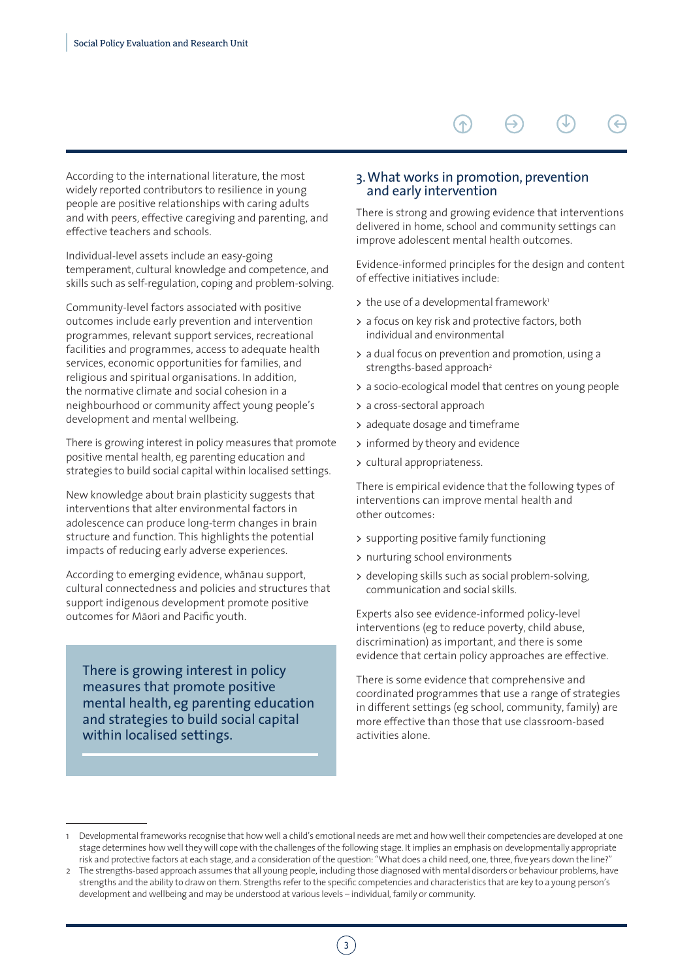According to the international literature, the most widely reported contributors to resilience in young people are positive relationships with caring adults and with peers, effective caregiving and parenting, and effective teachers and schools.

Individual-level assets include an easy-going temperament, cultural knowledge and competence, and skills such as self-regulation, coping and problem-solving.

Community-level factors associated with positive outcomes include early prevention and intervention programmes, relevant support services, recreational facilities and programmes, access to adequate health services, economic opportunities for families, and religious and spiritual organisations. In addition, the normative climate and social cohesion in a neighbourhood or community affect young people's development and mental wellbeing.

There is growing interest in policy measures that promote positive mental health, eg parenting education and strategies to build social capital within localised settings.

New knowledge about brain plasticity suggests that interventions that alter environmental factors in adolescence can produce long-term changes in brain structure and function. This highlights the potential impacts of reducing early adverse experiences.

According to emerging evidence, whanau support, cultural connectedness and policies and structures that support indigenous development promote positive outcomes for Māori and Pacific youth.

There is growing interest in policy measures that promote positive mental health, eg parenting education and strategies to build social capital within localised settings.

#### 3.What works in promotion, prevention and early intervention

There is strong and growing evidence that interventions delivered in home, school and community settings can improve adolescent mental health outcomes.

Evidence-informed principles for the design and content of effective initiatives include:

- > the use of a developmental framework<sup>1</sup>
- > a focus on key risk and protective factors, both individual and environmental
- > a dual focus on prevention and promotion, using a strengths-based approach<sup>2</sup>
- > a socio-ecological model that centres on young people
- > a cross-sectoral approach
- > adequate dosage and timeframe
- > informed by theory and evidence
- > cultural appropriateness.

There is empirical evidence that the following types of interventions can improve mental health and other outcomes:

- > supporting positive family functioning
- > nurturing school environments
- > developing skills such as social problem-solving, communication and social skills.

Experts also see evidence-informed policy-level interventions (eg to reduce poverty, child abuse, discrimination) as important, and there is some evidence that certain policy approaches are effective.

There is some evidence that comprehensive and coordinated programmes that use a range of strategies in different settings (eg school, community, family) are more effective than those that use classroom-based activities alone.

3

Developmental frameworks recognise that how well a child's emotional needs are met and how well their competencies are developed at one stage determines how well they will cope with the challenges of the following stage. It implies an emphasis on developmentally appropriate risk and protective factors at each stage, and a consideration of the question: "What does a child need, one, three, five years down the line?"

<sup>2</sup> The strengths-based approach assumes that all young people, including those diagnosed with mental disorders or behaviour problems, have strengths and the ability to draw on them. Strengths refer to the specific competencies and characteristics that are key to a young person's development and wellbeing and may be understood at various levels – individual, family or community.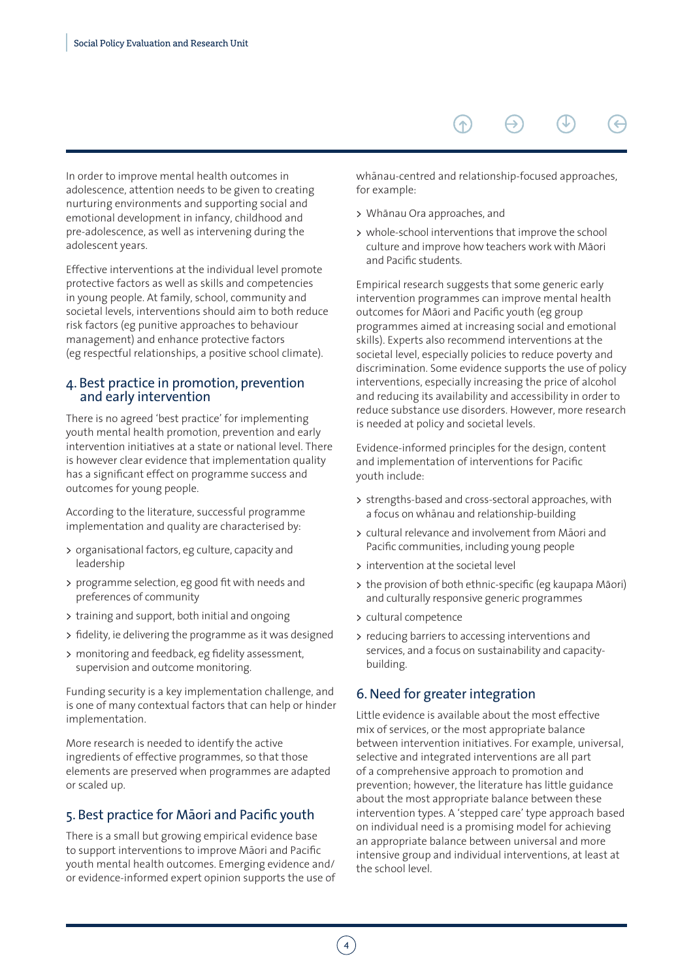#### In order to improve mental health outcomes in adolescence, attention needs to be given to creating nurturing environments and supporting social and emotional development in infancy, childhood and pre-adolescence, as well as intervening during the adolescent years.

Effective interventions at the individual level promote protective factors as well as skills and competencies in young people. At family, school, community and societal levels, interventions should aim to both reduce risk factors (eg punitive approaches to behaviour management) and enhance protective factors (eg respectful relationships, a positive school climate).

#### 4. Best practice in promotion, prevention and early intervention

There is no agreed 'best practice' for implementing youth mental health promotion, prevention and early intervention initiatives at a state or national level. There is however clear evidence that implementation quality has a significant effect on programme success and outcomes for young people.

According to the literature, successful programme implementation and quality are characterised by:

- > organisational factors, eg culture, capacity and leadership
- > programme selection, eg good fit with needs and preferences of community
- > training and support, both initial and ongoing
- > fidelity, ie delivering the programme as it was designed
- > monitoring and feedback, eg fidelity assessment, supervision and outcome monitoring.

Funding security is a key implementation challenge, and is one of many contextual factors that can help or hinder implementation.

More research is needed to identify the active ingredients of effective programmes, so that those elements are preserved when programmes are adapted or scaled up.

#### 5. Best practice for Maori and Pacific youth

There is a small but growing empirical evidence base to support interventions to improve Māori and Pacific youth mental health outcomes. Emerging evidence and/ or evidence-informed expert opinion supports the use of

whānau-centred and relationship-focused approaches, for example:

 $\bigwedge$ 

- > Whānau Ora approaches, and
- > whole-school interventions that improve the school culture and improve how teachers work with Māori and Pacific students.

Empirical research suggests that some generic early intervention programmes can improve mental health outcomes for Maori and Pacific youth (eg group programmes aimed at increasing social and emotional skills). Experts also recommend interventions at the societal level, especially policies to reduce poverty and discrimination. Some evidence supports the use of policy interventions, especially increasing the price of alcohol and reducing its availability and accessibility in order to reduce substance use disorders. However, more research is needed at policy and societal levels.

Evidence-informed principles for the design, content and implementation of interventions for Pacific youth include:

- > strengths-based and cross-sectoral approaches, with a focus on whānau and relationship-building
- > cultural relevance and involvement from Māori and Pacific communities, including young people
- > intervention at the societal level
- > the provision of both ethnic-specific (eg kaupapa Māori) and culturally responsive generic programmes
- > cultural competence
- > reducing barriers to accessing interventions and services, and a focus on sustainability and capacitybuilding.

#### 6. Need for greater integration

Little evidence is available about the most effective mix of services, or the most appropriate balance between intervention initiatives. For example, universal, selective and integrated interventions are all part of a comprehensive approach to promotion and prevention; however, the literature has little guidance about the most appropriate balance between these intervention types. A 'stepped care' type approach based on individual need is a promising model for achieving an appropriate balance between universal and more intensive group and individual interventions, at least at the school level.

4